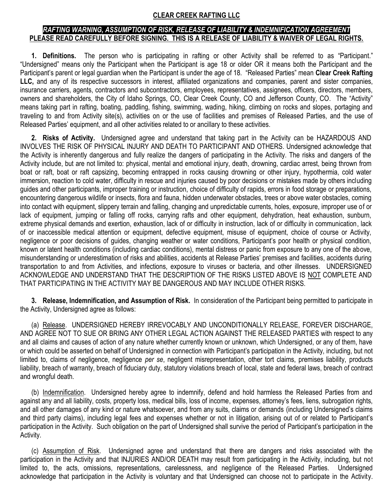## **CLEAR CREEK RAFTING LLC**

## *RAFTING WARNING, ASSUMPTION OF RISK, RELEASE OF LIABILITY & INDEMNIFICATION AGREEMENT* **PLEASE READ CAREFULLY BEFORE SIGNING. THIS IS A RELEASE OF LIABILITY & WAIVER OF LEGAL RIGHTS.**

**1. Definitions.** The person who is participating in rafting or other Activity shall be referred to as "Participant." "Undersigned" means only the Participant when the Participant is age 18 or older OR it means both the Participant and the Participant's parent or legal guardian when the Participant is under the age of 18. "Released Parties" mean **Clear Creek Rafting LLC,** and any of its respective successors in interest, affiliated organizations and companies, parent and sister companies, insurance carriers, agents, contractors and subcontractors, employees, representatives, assignees, officers, directors, members, owners and shareholders, the City of Idaho Springs, CO, Clear Creek County, CO and Jefferson County, CO. The "Activity" means taking part in rafting, boating, paddling, fishing, swimming, wading, hiking, climbing on rocks and slopes, portaging and traveling to and from Activity site(s), activities on or the use of facilities and premises of Released Parties, and the use of Released Parties' equipment, and all other activities related to or ancillary to these activities.

**2. Risks of Activity.** Undersigned agree and understand that taking part in the Activity can be HAZARDOUS AND INVOLVES THE RISK OF PHYSICAL INJURY AND DEATH TO PARTICIPANT AND OTHERS. Undersigned acknowledge that the Activity is inherently dangerous and fully realize the dangers of participating in the Activity. The risks and dangers of the Activity include, but are not limited to: physical, mental and emotional injury, death, drowning, cardiac arrest, being thrown from boat or raft, boat or raft capsizing, becoming entrapped in rocks causing drowning or other injury, hypothermia, cold water immersion, reaction to cold water, difficulty in rescue and injuries caused by poor decisions or mistakes made by others including guides and other participants, improper training or instruction, choice of difficulty of rapids, errors in food storage or preparations, encountering dangerous wildlife or insects, flora and fauna, hidden underwater obstacles, trees or above water obstacles, coming into contact with equipment, slippery terrain and falling, changing and unpredictable currents, holes, exposure, improper use of or lack of equipment, jumping or falling off rocks, carrying rafts and other equipment, dehydration, heat exhaustion, sunburn, extreme physical demands and exertion, exhaustion, lack of or difficulty in instruction, lack of or difficulty in communication, lack of or inaccessible medical attention or equipment, defective equipment, misuse of equipment, choice of course or Activity, negligence or poor decisions of guides, changing weather or water conditions, Participant's poor health or physical condition, known or latent health conditions (including cardiac conditions), mental distress or panic from exposure to any one of the above, misunderstanding or underestimation of risks and abilities, accidents at Release Parties' premises and facilities, accidents during transportation to and from Activities, and infections, exposure to viruses or bacteria, and other illnesses. UNDERSIGNED ACKNOWLEDGE AND UNDERSTAND THAT THE DESCRIPTION OF THE RISKS LISTED ABOVE IS NOT COMPLETE AND THAT PARTICIPATING IN THE ACTIVITY MAY BE DANGEROUS AND MAY INCLUDE OTHER RISKS.

**3. Release, Indemnification, and Assumption of Risk.** In consideration of the Participant being permitted to participate in the Activity, Undersigned agree as follows:

(a) Release. UNDERSIGNED HEREBY IRREVOCABLY AND UNCONDITIONALLY RELEASE, FOREVER DISCHARGE, AND AGREE NOT TO SUE OR BRING ANY OTHER LEGAL ACTION AGAINST THE RELEASED PARTIES with respect to any and all claims and causes of action of any nature whether currently known or unknown, which Undersigned, or any of them, have or which could be asserted on behalf of Undersigned in connection with Participant's participation in the Activity, including, but not limited to, claims of negligence, negligence *per se*, negligent misrepresentation, other tort claims, premises liability, products liability, breach of warranty, breach of fiduciary duty, statutory violations breach of local, state and federal laws, breach of contract and wrongful death.

(b) Indemnification. Undersigned hereby agree to indemnify, defend and hold harmless the Released Parties from and against any and all liability, costs, property loss, medical bills, loss of income, expenses, attorney's fees, liens, subrogation rights, and all other damages of any kind or nature whatsoever, and from any suits, claims or demands (including Undersigned's claims and third party claims), including legal fees and expenses whether or not in litigation, arising out of or related to Participant's participation in the Activity. Such obligation on the part of Undersigned shall survive the period of Participant's participation in the Activity.

(c) Assumption of Risk. Undersigned agree and understand that there are dangers and risks associated with the participation in the Activity and that INJURIES AND/OR DEATH may result from participating in the Activity, including, but not limited to, the acts, omissions, representations, carelessness, and negligence of the Released Parties. Undersigned acknowledge that participation in the Activity is voluntary and that Undersigned can choose not to participate in the Activity.